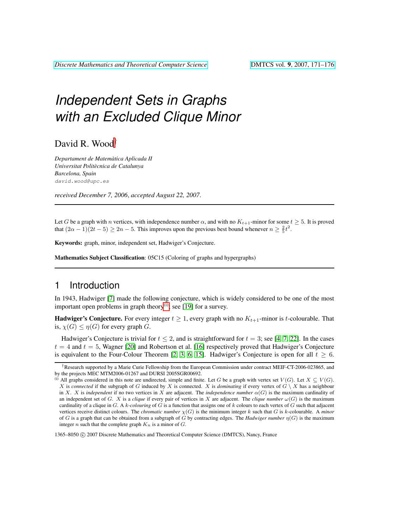# *Independent Sets in Graphs with an Excluded Clique Minor*

David R. Wood†

*Departament de Matematica Aplicada II ` Universitat Politecnica de Catalunya ` Barcelona, Spain* david.wood@upc.es

*received December 7, 2006*, *accepted August 22, 2007*.

Let G be a graph with n vertices, with independence number  $\alpha$ , and with no  $K_{t+1}$ -minor for some  $t \geq 5$ . It is proved that  $(2\alpha - 1)(2t - 5) \ge 2n - 5$ . This improves upon the previous best bound whenever  $n \ge \frac{2}{5}t^2$ .

Keywords: graph, minor, independent set, Hadwiger's Conjecture.

Mathematics Subject Classification: 05C15 (Coloring of graphs and hypergraphs)

### 1 Introduction

In 1943, Hadwiger [\[7\]](#page-3-0) made the following conjecture, which is widely considered to be one of the most important open problems in graph theory<sup>[\(i\)](#page-0-0)</sup>; see [\[19\]](#page-4-0) for a survey.

**Hadwiger's Conjecture.** For every integer  $t \ge 1$ , every graph with no  $K_{t+1}$ -minor is t-colourable. That is,  $\chi(G) \leq \eta(G)$  for every graph G.

Hadwiger's Conjecture is trivial for  $t \le 2$ , and is straightforward for  $t = 3$ ; see [\[4,](#page-3-1) [7,](#page-3-0) [22\]](#page-4-1). In the cases  $t = 4$  and  $t = 5$ , Wagner [\[20\]](#page-4-2) and Robertson et al. [\[16\]](#page-4-3) respectively proved that Hadwiger's Conjecture is equivalent to the Four-Colour Theorem [\[2,](#page-3-2) [3,](#page-3-3) [6,](#page-3-4) [15\]](#page-4-4). Hadwiger's Conjecture is open for all  $t \geq 6$ .

1365–8050 C 2007 Discrete Mathematics and Theoretical Computer Science (DMTCS), Nancy, France

<sup>†</sup>Research supported by a Marie Curie Fellowship from the European Commission under contract MEIF-CT-2006-023865, and by the projects MEC MTM2006-01267 and DURSI 2005SGR00692.

<span id="page-0-0"></span><sup>(</sup>i) All graphs considered in this note are undirected, simple and finite. Let G be a graph with vertex set  $V(G)$ . Let  $X \subseteq V(G)$ . X is *connected* if the subgraph of G induced by X is connected. X is *dominating* if every vertex of  $G \setminus X$  has a neighbour in X. X is *independent* if no two vertices in X are adjacent. The *independence number*  $\alpha(G)$  is the maximum cardinality of an independent set of G. X is a *clique* if every pair of vertices in X are adjacent. The *clique number*  $\omega(G)$  is the maximum cardinality of a clique in G. A k*-colouring* of G is a function that assigns one of k colours to each vertex of G such that adjacent vertices receive distinct colours. The *chromatic number*  $\chi(G)$  is the minimum integer k such that G is k-colourable. A *minor* of G is a graph that can be obtained from a subgraph of G by contracting edges. The *Hadwiger number* η(G) is the maximum integer n such that the complete graph  $K_n$  is a minor of  $G$ .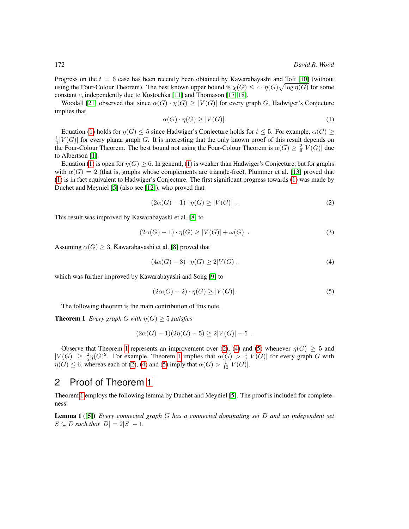Progress on the  $t = 6$  case has been recently been obtained by Kawarabayashi and Toft [\[10\]](#page-4-5) (without using the Four-Colour Theorem). The best known upper bound is  $\chi(G) \leq c \cdot \eta(G) \sqrt{\log \eta(G)}$  for some constant c, independently due to Kostochka [\[11\]](#page-4-6) and Thomason [\[17,](#page-4-7) [18\]](#page-4-8).

<span id="page-1-0"></span>Woodall [\[21\]](#page-4-9) observed that since  $\alpha(G) \cdot \chi(G) \geq |V(G)|$  for every graph G, Hadwiger's Conjecture implies that

$$
\alpha(G) \cdot \eta(G) \ge |V(G)|. \tag{1}
$$

Equation [\(1\)](#page-1-0) holds for  $\eta(G) \leq 5$  since Hadwiger's Conjecture holds for  $t \leq 5$ . For example,  $\alpha(G) \geq 5$  $\frac{1}{4}|V(G)|$  for every planar graph G. It is interesting that the only known proof of this result depends on the Four-Colour Theorem. The best bound not using the Four-Colour Theorem is  $\alpha(G) \geq \frac{2}{9} |V(G)|$  due to Albertson [\[1\]](#page-3-5).

Equation [\(1\)](#page-1-0) is open for  $\eta(G) \geq 6$ . In general, (1) is weaker than Hadwiger's Conjecture, but for graphs with  $\alpha(G) = 2$  (that is, graphs whose complements are triangle-free), Plummer et al. [\[13\]](#page-4-10) proved that [\(1\)](#page-1-0) is in fact equivalent to Hadwiger's Conjecture. The first significant progress towards [\(1\)](#page-1-0) was made by Duchet and Meyniel [\[5\]](#page-3-6) (also see [\[12\]](#page-4-11)), who proved that

<span id="page-1-6"></span><span id="page-1-2"></span>
$$
(2\alpha(G) - 1) \cdot \eta(G) \ge |V(G)| \tag{2}
$$

This result was improved by Kawarabayashi et al. [\[8\]](#page-3-7) to

$$
(2\alpha(G) - 1) \cdot \eta(G) \ge |V(G)| + \omega(G) \tag{3}
$$

Assuming  $\alpha(G) \geq 3$ , Kawarabayashi et al. [\[8\]](#page-3-7) proved that

<span id="page-1-3"></span>
$$
(4\alpha(G) - 3) \cdot \eta(G) \ge 2|V(G)|,\tag{4}
$$

which was further improved by Kawarabayashi and Song [\[9\]](#page-3-8) to

<span id="page-1-4"></span>
$$
(2\alpha(G) - 2) \cdot \eta(G) \ge |V(G)|. \tag{5}
$$

The following theorem is the main contribution of this note.

<span id="page-1-1"></span>**Theorem 1** *Every graph* G with  $\eta(G) \geq 5$  *satisfies* 

$$
(2\alpha(G) - 1)(2\eta(G) - 5) \ge 2|V(G)| - 5.
$$

Observe that Theorem [1](#page-1-1) represents an improvement over [\(2\)](#page-1-2), [\(4\)](#page-1-3) and [\(5\)](#page-1-4) whenever  $\eta(G) \geq 5$  and  $|V(G)| \geq \frac{2}{5}\eta(G)^2$ . For example, Theorem [1](#page-1-1) implies that  $\alpha(G) > \frac{1}{7}|V(G)|$  for every graph G with  $\eta(G) \leq 6$ , whereas each of [\(2\)](#page-1-2), [\(4\)](#page-1-3) and [\(5\)](#page-1-4) imply that  $\alpha(G) > \frac{1}{12}|V(G)|$ .

#### 2 Proof of Theorem [1](#page-1-1)

Theorem [1](#page-1-1) employs the following lemma by Duchet and Meyniel [\[5\]](#page-3-6). The proof is included for completeness.

<span id="page-1-5"></span>Lemma 1 ([\[5\]](#page-3-6)) *Every connected graph* G *has a connected dominating set* D *and an independent set*  $S \subseteq D$  *such that*  $|D| = 2|S| - 1$ *.*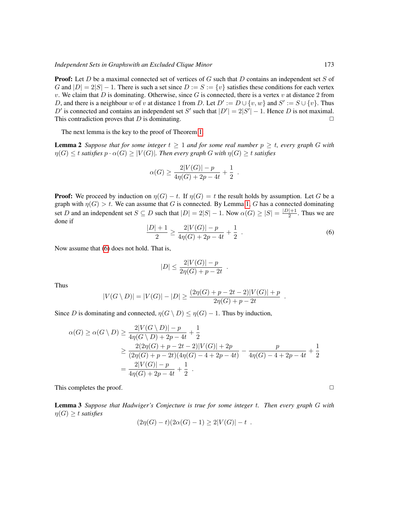**Proof:** Let D be a maximal connected set of vertices of G such that D contains an independent set S of G and  $|D| = 2|S| - 1$ . There is such a set since  $D := S := \{v\}$  satisfies these conditions for each vertex v. We claim that D is dominating. Otherwise, since G is connected, there is a vertex v at distance 2 from D, and there is a neighbour w of v at distance 1 from D. Let  $D' := D \cup \{v, w\}$  and  $S' := S \cup \{v\}$ . Thus D' is connected and contains an independent set S' such that  $|D'| = 2|S'| - 1$ . Hence D is not maximal. This contradiction proves that D is dominating.  $\Box$ 

The next lemma is the key to the proof of Theorem [1.](#page-1-1)

<span id="page-2-1"></span>**Lemma 2** Suppose that for some integer  $t \geq 1$  and for some real number  $p \geq t$ , every graph G with  $\eta(G) \leq t$  *satisfies*  $p \cdot \alpha(G) \geq |V(G)|$ *. Then every graph* G with  $\eta(G) \geq t$  *satisfies* 

$$
\alpha(G) \ge \frac{2|V(G)| - p}{4\eta(G) + 2p - 4t} + \frac{1}{2} .
$$

<span id="page-2-0"></span>**Proof:** We proceed by induction on  $\eta(G) - t$ . If  $\eta(G) = t$  the result holds by assumption. Let G be a graph with  $\eta(G) > t$ . We can assume that G is connected. By Lemma [1,](#page-1-5) G has a connected dominating set D and an independent set  $S \subseteq D$  such that  $|D| = 2|S| - 1$ . Now  $\alpha(G) \ge |S| = \frac{|D|+1}{2}$  $\frac{1+1}{2}$ . Thus we are done if

$$
\frac{|D|+1}{2} \ge \frac{2|V(G)|-p}{4\eta(G)+2p-4t} + \frac{1}{2} \tag{6}
$$

.

Now assume that [\(6\)](#page-2-0) does not hold. That is,

$$
|D| \le \frac{2|V(G)| - p}{2\eta(G) + p - 2t} \; .
$$

Thus

$$
|V(G \setminus D)| = |V(G)| - |D| \ge \frac{(2\eta(G) + p - 2t - 2)|V(G)| + p}{2\eta(G) + p - 2t}
$$

Since D is dominating and connected,  $\eta(G \setminus D) \leq \eta(G) - 1$ . Thus by induction,

$$
\alpha(G) \ge \alpha(G \setminus D) \ge \frac{2|V(G \setminus D)| - p}{4\eta(G \setminus D) + 2p - 4t} + \frac{1}{2}
$$
  

$$
\ge \frac{2(2\eta(G) + p - 2t - 2)|V(G)| + 2p}{(2\eta(G) + p - 2t)(4\eta(G) - 4 + 2p - 4t)} - \frac{p}{4\eta(G) - 4 + 2p - 4t} + \frac{1}{2}
$$
  

$$
= \frac{2|V(G)| - p}{4\eta(G) + 2p - 4t} + \frac{1}{2}.
$$

This completes the proof.  $\Box$ 

<span id="page-2-2"></span>Lemma 3 *Suppose that Hadwiger's Conjecture is true for some integer* t*. Then every graph* G *with*  $\eta(G) \geq t$  *satisfies* 

$$
(2\eta(G) - t)(2\alpha(G) - 1) \ge 2|V(G)| - t.
$$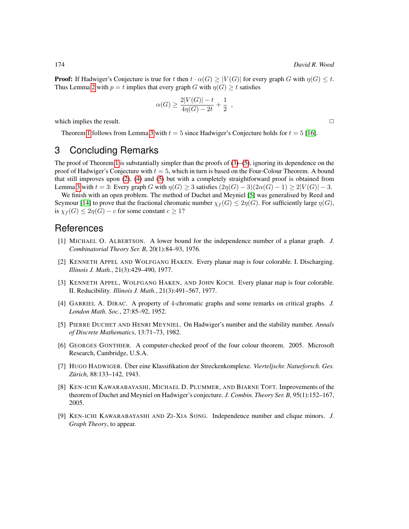**Proof:** If Hadwiger's Conjecture is true for t then  $t \cdot \alpha(G) > |V(G)|$  for every graph G with  $\eta(G) \leq t$ . Thus Lemma [2](#page-2-1) with  $p = t$  implies that every graph G with  $\eta(G) \geq t$  satisfies

$$
\alpha(G) \ge \frac{2|V(G)| - t}{4\eta(G) - 2t} + \frac{1}{2} ,
$$

which implies the result.  $\Box$ 

Theorem [1](#page-1-1) follows from Lemma [3](#page-2-2) with  $t = 5$  since Hadwiger's Conjecture holds for  $t = 5$  [\[16\]](#page-4-3).

## 3 Concluding Remarks

The proof of Theorem [1](#page-1-1) is substantially simpler than the proofs of  $(3)$ – $(5)$ , ignoring its dependence on the proof of Hadwiger's Conjecture with  $t = 5$ , which in turn is based on the Four-Colour Theorem. A bound that still improves upon [\(2\)](#page-1-2), [\(4\)](#page-1-3) and [\(5\)](#page-1-4) but with a completely straightforward proof is obtained from Lemma [3](#page-2-2) with  $t = 3$ : Every graph G with  $\eta(G) \ge 3$  satisfies  $(2\eta(G) - 3)(2\alpha(G) - 1) \ge 2|V(G)| - 3$ .

We finish with an open problem. The method of Duchet and Meyniel [\[5\]](#page-3-6) was generalised by Reed and Seymour [\[14\]](#page-4-12) to prove that the fractional chromatic number  $\chi_f(G) \leq 2\eta(G)$ . For sufficiently large  $\eta(G)$ , is  $\chi_f(G) \leq 2\eta(G) - c$  for some constant  $c \geq 1$ ?

## **References**

- <span id="page-3-5"></span>[1] MICHAEL O. ALBERTSON. A lower bound for the independence number of a planar graph. *J. Combinatorial Theory Ser. B*, 20(1):84–93, 1976.
- <span id="page-3-2"></span>[2] KENNETH APPEL AND WOLFGANG HAKEN. Every planar map is four colorable. I. Discharging. *Illinois J. Math.*, 21(3):429–490, 1977.
- <span id="page-3-3"></span>[3] KENNETH APPEL, WOLFGANG HAKEN, AND JOHN KOCH. Every planar map is four colorable. II. Reducibility. *Illinois J. Math.*, 21(3):491–567, 1977.
- <span id="page-3-1"></span>[4] GABRIEL A. DIRAC. A property of 4-chromatic graphs and some remarks on critical graphs. *J. London Math. Soc.*, 27:85–92, 1952.
- <span id="page-3-6"></span>[5] PIERRE DUCHET AND HENRI MEYNIEL. On Hadwiger's number and the stability number. *Annals of Discrete Mathematics*, 13:71–73, 1982.
- <span id="page-3-4"></span>[6] GEORGES GONTHIER. A computer-checked proof of the four colour theorem. 2005. Microsoft Research, Cambridge, U.S.A.
- <span id="page-3-0"></span>[7] HUGO HADWIGER. Über eine Klassifikation der Streckenkomplexe. Vierteljschr. Naturforsch. Ges. *Zurich ¨* , 88:133–142, 1943.
- <span id="page-3-7"></span>[8] KEN-ICHI KAWARABAYASHI, MICHAEL D. PLUMMER, AND BJARNE TOFT. Improvements of the theorem of Duchet and Meyniel on Hadwiger's conjecture. *J. Combin. Theory Ser. B*, 95(1):152–167, 2005.
- <span id="page-3-8"></span>[9] KEN-ICHI KAWARABAYASHI AND ZI-XIA SONG. Independence number and clique minors. *J. Graph Theory*, to appear.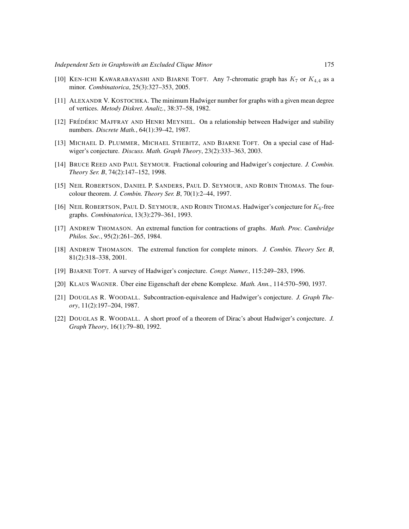- <span id="page-4-5"></span>[10] KEN-ICHI KAWARABAYASHI AND BJARNE TOFT. Any 7-chromatic graph has  $K_7$  or  $K_{4,4}$  as a minor. *Combinatorica*, 25(3):327–353, 2005.
- <span id="page-4-6"></span>[11] ALEXANDR V. KOSTOCHKA. The minimum Hadwiger number for graphs with a given mean degree of vertices. *Metody Diskret. Analiz.*, 38:37–58, 1982.
- <span id="page-4-11"></span>[12] FRÉDÉRIC MAFFRAY AND HENRI MEYNIEL. On a relationship between Hadwiger and stability numbers. *Discrete Math.*, 64(1):39–42, 1987.
- <span id="page-4-10"></span>[13] MICHAEL D. PLUMMER, MICHAEL STIEBITZ, AND BJARNE TOFT. On a special case of Hadwiger's conjecture. *Discuss. Math. Graph Theory*, 23(2):333–363, 2003.
- <span id="page-4-12"></span>[14] BRUCE REED AND PAUL SEYMOUR. Fractional colouring and Hadwiger's conjecture. *J. Combin. Theory Ser. B*, 74(2):147–152, 1998.
- <span id="page-4-4"></span>[15] NEIL ROBERTSON, DANIEL P. SANDERS, PAUL D. SEYMOUR, AND ROBIN THOMAS. The fourcolour theorem. *J. Combin. Theory Ser. B*, 70(1):2–44, 1997.
- <span id="page-4-3"></span>[16] NEIL ROBERTSON, PAUL D. SEYMOUR, AND ROBIN THOMAS. Hadwiger's conjecture for  $K_6$ -free graphs. *Combinatorica*, 13(3):279–361, 1993.
- <span id="page-4-7"></span>[17] ANDREW THOMASON. An extremal function for contractions of graphs. *Math. Proc. Cambridge Philos. Soc.*, 95(2):261–265, 1984.
- <span id="page-4-8"></span>[18] ANDREW THOMASON. The extremal function for complete minors. *J. Combin. Theory Ser. B*, 81(2):318–338, 2001.
- <span id="page-4-0"></span>[19] BJARNE TOFT. A survey of Hadwiger's conjecture. *Congr. Numer.*, 115:249–283, 1996.
- <span id="page-4-2"></span>[20] KLAUS WAGNER. Über eine Eigenschaft der ebene Komplexe. *Math. Ann.*, 114:570–590, 1937.
- <span id="page-4-9"></span>[21] DOUGLAS R. WOODALL. Subcontraction-equivalence and Hadwiger's conjecture. *J. Graph Theory*, 11(2):197–204, 1987.
- <span id="page-4-1"></span>[22] DOUGLAS R. WOODALL. A short proof of a theorem of Dirac's about Hadwiger's conjecture. *J. Graph Theory*, 16(1):79–80, 1992.